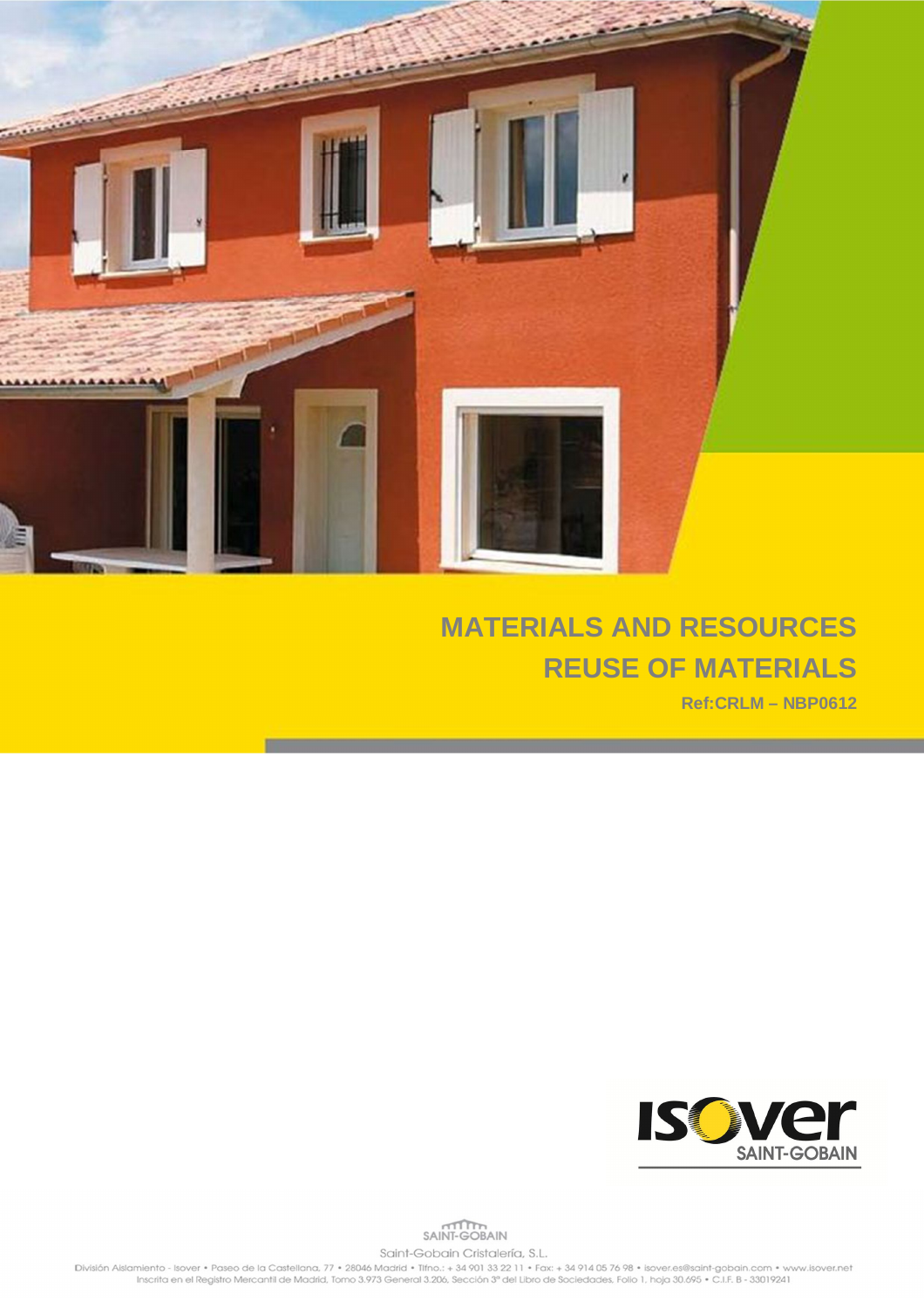

## **MATERIALS AND RESOURCES REUSE OF MATERIALS**

**Ref:CRLM – NBP0612**



## SAINT-GOBAIN Saint-Gobain Cristalería, S.L.

División Alslamiento - Isover • Paseo de la Castellana, 77 • 28046 Madrid • Tifno.: + 34 901 33 22 11 • Fax: + 34 914 05 76 98 • isover.es@saint-gobain.com • www.isover.net<br>Inscrita en el Registro Mercantil de Madrid, Tomo